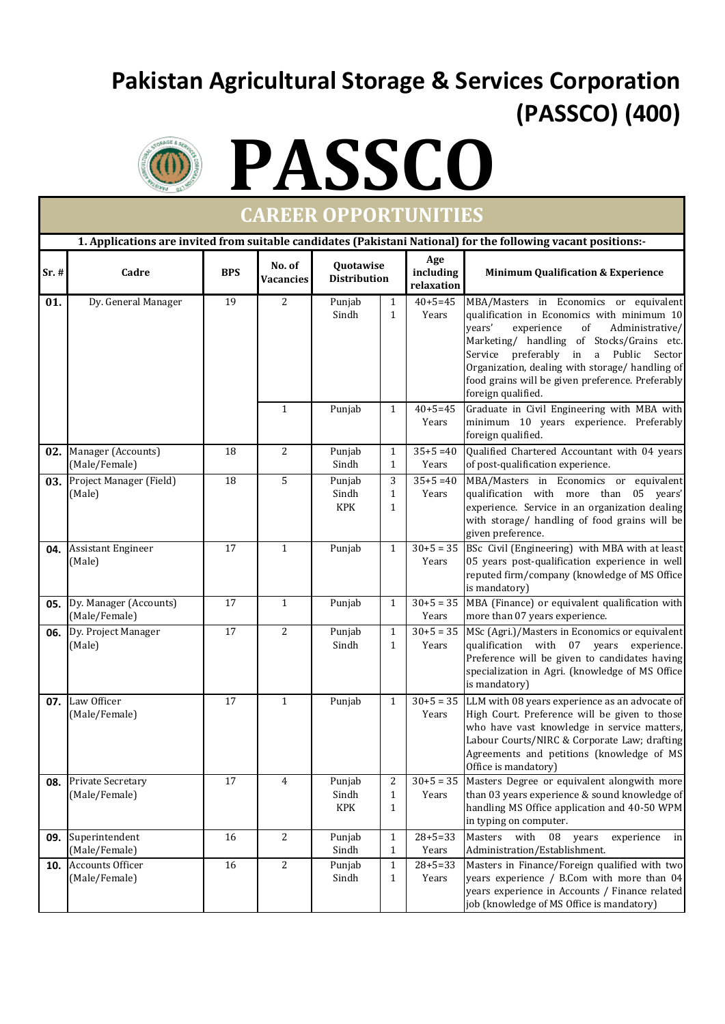## **Pakistan Agricultural Storage & Services Corporation (PASSCO) (400)**



# **PASSCO**

| <b>CAREER OPPORTUNITIES</b>                                                                                    |                                          |                 |                            |                                  |                                   |                                |                                                                                                                                                                                                                                                                                                                                                                  |  |  |  |  |  |
|----------------------------------------------------------------------------------------------------------------|------------------------------------------|-----------------|----------------------------|----------------------------------|-----------------------------------|--------------------------------|------------------------------------------------------------------------------------------------------------------------------------------------------------------------------------------------------------------------------------------------------------------------------------------------------------------------------------------------------------------|--|--|--|--|--|
| 1. Applications are invited from suitable candidates (Pakistani National) for the following vacant positions:- |                                          |                 |                            |                                  |                                   |                                |                                                                                                                                                                                                                                                                                                                                                                  |  |  |  |  |  |
| Sr.#                                                                                                           | Cadre                                    | <b>BPS</b>      | No. of<br><b>Vacancies</b> | Quotawise<br><b>Distribution</b> |                                   | Age<br>including<br>relaxation | <b>Minimum Qualification &amp; Experience</b>                                                                                                                                                                                                                                                                                                                    |  |  |  |  |  |
| 01.                                                                                                            | Dy. General Manager                      | 19              | 2                          | Punjab<br>Sindh                  | $\mathbf{1}$<br>$\mathbf{1}$      | $40 + 5 = 45$<br>Years         | MBA/Masters in Economics or equivalent<br>qualification in Economics with minimum 10<br>$\sigma f$<br>vears'<br>experience<br>Administrative/<br>Marketing/ handling of Stocks/Grains etc.<br>Service preferably in a Public Sector<br>Organization, dealing with storage/ handling of<br>food grains will be given preference. Preferably<br>foreign qualified. |  |  |  |  |  |
|                                                                                                                |                                          |                 | $\mathbf{1}$               | Punjab                           | $\mathbf{1}$                      | $40 + 5 = 45$<br>Years         | Graduate in Civil Engineering with MBA with<br>minimum 10 years experience. Preferably<br>foreign qualified.                                                                                                                                                                                                                                                     |  |  |  |  |  |
| 02.                                                                                                            | Manager (Accounts)<br>(Male/Female)      | 18              | 2                          | Punjab<br>Sindh                  | $\mathbf{1}$<br>$\mathbf{1}$      | $35+5=40$<br>Years             | Qualified Chartered Accountant with 04 years<br>of post-qualification experience.                                                                                                                                                                                                                                                                                |  |  |  |  |  |
|                                                                                                                | 03. Project Manager (Field)<br>(Male)    | 18              | 5                          | Punjab<br>Sindh<br>KPK           | 3<br>$\mathbf{1}$<br>$\mathbf{1}$ | $35+5=40$<br>Years             | MBA/Masters in Economics or equivalent<br>qualification with more than 05 years'<br>experience. Service in an organization dealing<br>with storage/ handling of food grains will be<br>given preference.                                                                                                                                                         |  |  |  |  |  |
| 04.                                                                                                            | <b>Assistant Engineer</b><br>(Male)      | 17              | $\mathbf{1}$               | Punjab                           | $\mathbf{1}$                      | $30+5=35$<br>Years             | BSc Civil (Engineering) with MBA with at least<br>05 years post-qualification experience in well<br>reputed firm/company (knowledge of MS Office<br>is mandatory)                                                                                                                                                                                                |  |  |  |  |  |
| 05.                                                                                                            | Dy. Manager (Accounts)<br>(Male/Female)  | 17              | $\mathbf{1}$               | Punjab                           | $\mathbf{1}$                      | Years                          | $30+5 = 35$ MBA (Finance) or equivalent qualification with<br>more than 07 years experience.                                                                                                                                                                                                                                                                     |  |  |  |  |  |
| 06.                                                                                                            | Dy. Project Manager<br>(Male)            | $\overline{17}$ | 2                          | Punjab<br>Sindh                  | $\mathbf{1}$<br>$\mathbf{1}$      | $30+5=35$<br>Years             | MSc (Agri.)/Masters in Economics or equivalent<br>qualification with 07 years<br>experience.<br>Preference will be given to candidates having<br>specialization in Agri. (knowledge of MS Office<br>is mandatory)                                                                                                                                                |  |  |  |  |  |
| 07.                                                                                                            | Law Officer<br>(Male/Female)             | 17              | $\mathbf{1}$               | Punjab                           | $\mathbf{1}$                      | Years                          | $30+5 = 35$ LLM with 08 years experience as an advocate of<br>High Court. Preference will be given to those<br>who have vast knowledge in service matters,<br>Labour Courts/NIRC & Corporate Law; drafting<br>Agreements and petitions (knowledge of MS)<br>Office is mandatory)                                                                                 |  |  |  |  |  |
| 08.                                                                                                            | Private Secretary<br>(Male/Female)       | $17\,$          | $\overline{4}$             | Punjab<br>Sindh<br>KPK           | 2<br>$\mathbf{1}$<br>$\mathbf{1}$ | $30+5=35$<br>Years             | Masters Degree or equivalent alongwith more<br>than 03 years experience & sound knowledge of<br>handling MS Office application and 40-50 WPM<br>in typing on computer.                                                                                                                                                                                           |  |  |  |  |  |
| 09.                                                                                                            | Superintendent<br>(Male/Female)          | 16              | $\overline{2}$             | Punjab<br>Sindh                  | $\mathbf{1}$<br>$\mathbf{1}$      | $28 + 5 = 33$<br>Years         | with<br>Masters<br>08<br>years<br>experience<br>in<br>Administration/Establishment.                                                                                                                                                                                                                                                                              |  |  |  |  |  |
| 10.                                                                                                            | <b>Accounts Officer</b><br>(Male/Female) | 16              | $\overline{2}$             | Punjab<br>Sindh                  | $\mathbf{1}$<br>$\mathbf{1}$      | $28 + 5 = 33$<br>Years         | Masters in Finance/Foreign qualified with two<br>years experience / B.Com with more than 04<br>years experience in Accounts / Finance related<br>job (knowledge of MS Office is mandatory)                                                                                                                                                                       |  |  |  |  |  |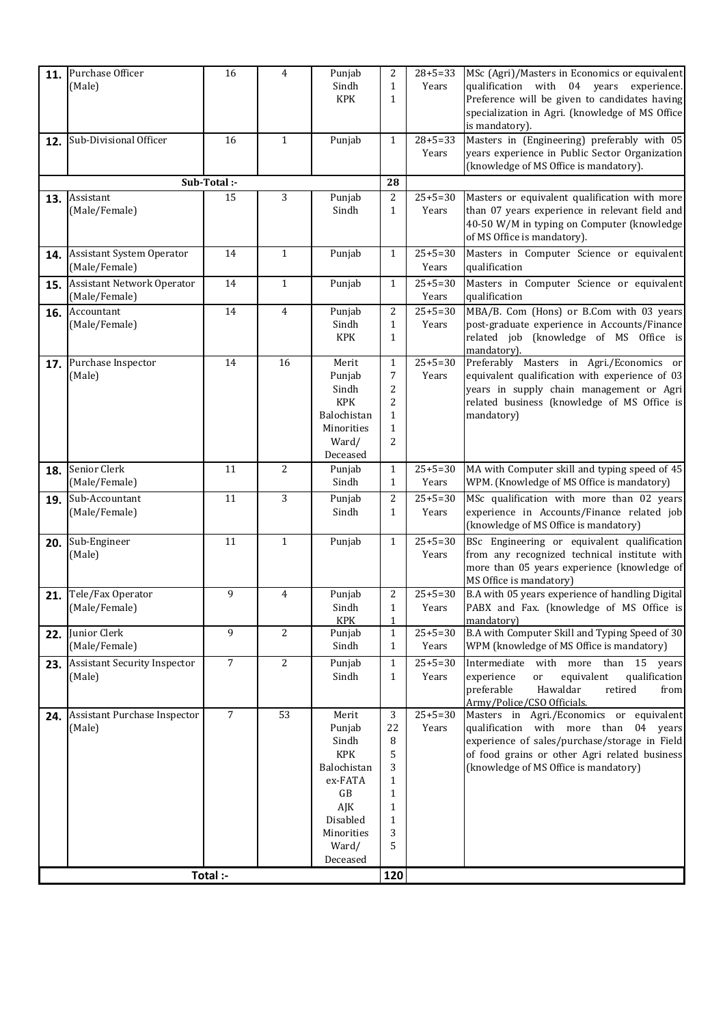| 11. | Purchase Officer                              | 16             | $\overline{4}$ | Punjab              | 2                            | $28 + 5 = 33$          | MSc (Agri)/Masters in Economics or equivalent                                                  |
|-----|-----------------------------------------------|----------------|----------------|---------------------|------------------------------|------------------------|------------------------------------------------------------------------------------------------|
|     | (Male)                                        |                |                | Sindh               | $\mathbf{1}$                 | Years                  | qualification with 04 years<br>experience.                                                     |
|     |                                               |                |                | <b>KPK</b>          | $\mathbf{1}$                 |                        | Preference will be given to candidates having                                                  |
|     |                                               |                |                |                     |                              |                        | specialization in Agri. (knowledge of MS Office<br>is mandatory).                              |
| 12. | Sub-Divisional Officer                        | 16             | $\mathbf{1}$   | Punjab              | $\mathbf{1}$                 | $28 + 5 = 33$          | Masters in (Engineering) preferably with 05                                                    |
|     |                                               |                |                |                     |                              | Years                  | years experience in Public Sector Organization                                                 |
|     |                                               |                |                |                     |                              |                        | (knowledge of MS Office is mandatory).                                                         |
|     |                                               | Sub-Total :-   |                |                     | 28                           |                        |                                                                                                |
| 13. | Assistant                                     | 15             | 3              | Punjab              | 2                            | $25+5=30$              | Masters or equivalent qualification with more                                                  |
|     | (Male/Female)                                 |                |                | Sindh               | $\mathbf{1}$                 | Years                  | than 07 years experience in relevant field and                                                 |
|     |                                               |                |                |                     |                              |                        | 40-50 W/M in typing on Computer (knowledge)                                                    |
|     |                                               |                |                |                     |                              |                        | of MS Office is mandatory).                                                                    |
| 14. | Assistant System Operator<br>(Male/Female)    | 14             | 1              | Punjab              | $\mathbf{1}$                 | $25+5=30$<br>Years     | Masters in Computer Science or equivalent<br>qualification                                     |
|     | <b>Assistant Network Operator</b>             | 14             | $\mathbf{1}$   | Punjab              | $\mathbf{1}$                 | $25+5=30$              | Masters in Computer Science or equivalent                                                      |
| 15. | (Male/Female)                                 |                |                |                     |                              | Years                  | qualification                                                                                  |
|     | 16. Accountant                                | 14             | 4              | Punjab              | 2                            | $25 + 5 = 30$          | MBA/B. Com (Hons) or B.Com with 03 years                                                       |
|     | (Male/Female)                                 |                |                | Sindh               | $\mathbf{1}$                 | Years                  | post-graduate experience in Accounts/Finance                                                   |
|     |                                               |                |                | <b>KPK</b>          | $\mathbf{1}$                 |                        | related job (knowledge of MS Office is                                                         |
|     | 17. Purchase Inspector                        | 14             | 16             | Merit               | $\mathbf{1}$                 | $25 + 5 = 30$          | mandatory).<br>Preferably Masters in Agri./Economics or                                        |
|     | (Male)                                        |                |                | Punjab              | 7                            | Years                  | equivalent qualification with experience of 03                                                 |
|     |                                               |                |                | Sindh               | 2                            |                        | years in supply chain management or Agri                                                       |
|     |                                               |                |                | <b>KPK</b>          | 2                            |                        | related business (knowledge of MS Office is                                                    |
|     |                                               |                |                | Balochistan         | $\mathbf{1}$                 |                        | mandatory)                                                                                     |
|     |                                               |                |                | Minorities          | $\mathbf{1}$                 |                        |                                                                                                |
|     |                                               |                |                | Ward/<br>Deceased   | 2                            |                        |                                                                                                |
| 18. | Senior Clerk                                  | 11             | 2              | Punjab              | $\mathbf{1}$                 | $25+5=30$              | MA with Computer skill and typing speed of 45                                                  |
|     | (Male/Female)                                 |                |                | Sindh               | $\mathbf{1}$                 | Years                  | WPM. (Knowledge of MS Office is mandatory)                                                     |
| 19. | Sub-Accountant                                | 11             | 3              | Punjab              | 2                            | $25+5=30$              | MSc qualification with more than 02 years                                                      |
|     | (Male/Female)                                 |                |                | Sindh               | $\mathbf{1}$                 | Years                  | experience in Accounts/Finance related job                                                     |
|     |                                               |                |                |                     |                              |                        | (knowledge of MS Office is mandatory)                                                          |
| 20. | Sub-Engineer                                  | 11             | $\mathbf{1}$   | Punjab              | $\mathbf{1}$                 | $25 + 5 = 30$          | BSc Engineering or equivalent qualification                                                    |
|     | (Male)                                        |                |                |                     |                              | Years                  | from any recognized technical institute with<br>more than 05 years experience (knowledge of    |
|     |                                               |                |                |                     |                              |                        | MS Office is mandatory)                                                                        |
| 21. | Tele/Fax Operator                             | 9              | $\overline{4}$ | Punjab              | 2                            | $25 + 5 = 30$          | B.A with 05 years experience of handling Digital                                               |
|     | (Male/Female)                                 |                |                | Sindh               | $\mathbf{1}$                 | Years                  | PABX and Fax. (knowledge of MS Office is                                                       |
|     |                                               |                |                | KPK                 | $\mathbf{1}$                 |                        | mandatory)                                                                                     |
| 22. | Junior Clerk                                  | 9              | 2              | Punjab              | $\mathbf{1}$                 | $25+5=30$              | B.A with Computer Skill and Typing Speed of 30                                                 |
|     | (Male/Female)                                 |                |                | Sindh               | $\mathbf{1}$                 | Years                  | WPM (knowledge of MS Office is mandatory)                                                      |
| 23. | <b>Assistant Security Inspector</b><br>(Male) | $\overline{7}$ | 2              | Punjab<br>Sindh     | $\mathbf{1}$<br>$\mathbf{1}$ | $25 + 5 = 30$<br>Years | Intermediate with more than 15 years<br>equivalent<br>experience<br>qualification<br>or        |
|     |                                               |                |                |                     |                              |                        | Hawaldar<br>preferable<br>retired<br>from                                                      |
|     |                                               |                |                |                     |                              |                        | Army/Police/CSO Officials.                                                                     |
| 24. | Assistant Purchase Inspector                  | $\overline{7}$ | 53             | Merit               | 3                            | $25 + 5 = 30$          | Masters in Agri./Economics or equivalent                                                       |
|     | (Male)                                        |                |                | Punjab              | 22                           | Years                  | qualification with more than 04 years                                                          |
|     |                                               |                |                | Sindh<br><b>KPK</b> | 8<br>5                       |                        | experience of sales/purchase/storage in Field<br>of food grains or other Agri related business |
|     |                                               |                |                | Balochistan         | 3                            |                        | (knowledge of MS Office is mandatory)                                                          |
|     |                                               |                |                | ex-FATA             | $\mathbf{1}$                 |                        |                                                                                                |
|     |                                               |                |                | GB                  | 1                            |                        |                                                                                                |
|     |                                               |                |                | AJK                 | $\mathbf{1}$                 |                        |                                                                                                |
|     |                                               |                |                | Disabled            | 1                            |                        |                                                                                                |
|     |                                               |                |                | Minorities<br>Ward/ | 3<br>5                       |                        |                                                                                                |
|     |                                               |                |                | Deceased            |                              |                        |                                                                                                |
|     |                                               | Total :-       |                |                     | 120                          |                        |                                                                                                |
|     |                                               |                |                |                     |                              |                        |                                                                                                |